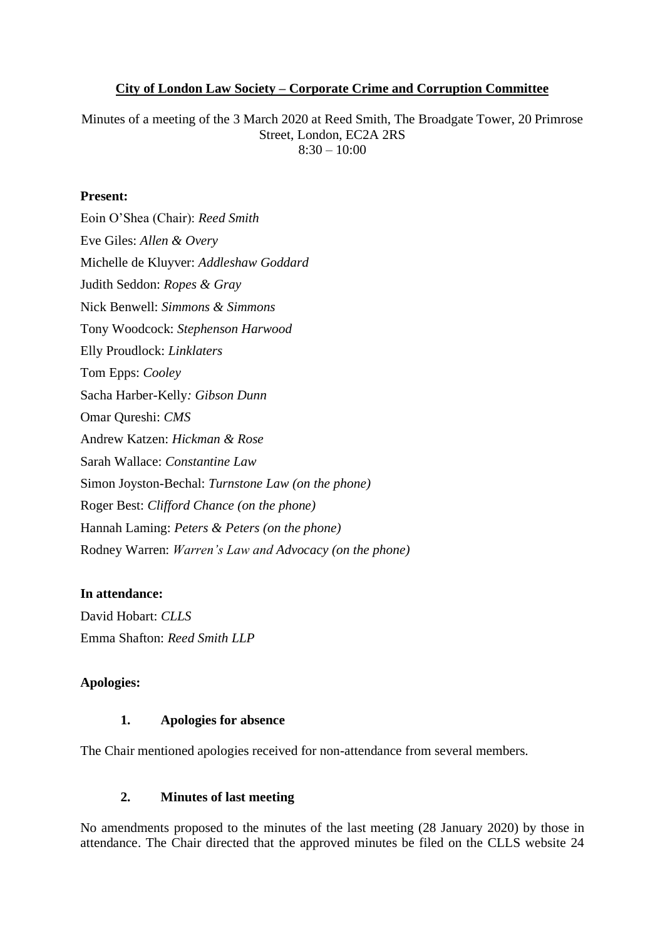## **City of London Law Society – Corporate Crime and Corruption Committee**

Minutes of a meeting of the 3 March 2020 at Reed Smith, The Broadgate Tower, 20 Primrose Street, London, EC2A 2RS  $8:30 - 10:00$ 

#### **Present:**

Eoin O'Shea (Chair): *Reed Smith*  Eve Giles: *Allen & Overy* Michelle de Kluyver: *Addleshaw Goddard* Judith Seddon: *Ropes & Gray* Nick Benwell: *Simmons & Simmons* Tony Woodcock: *Stephenson Harwood* Elly Proudlock: *Linklaters* Tom Epps: *Cooley* Sacha Harber-Kelly*: Gibson Dunn* Omar Qureshi: *CMS* Andrew Katzen: *Hickman & Rose* Sarah Wallace: *Constantine Law* Simon Joyston-Bechal: *Turnstone Law (on the phone)* Roger Best: *Clifford Chance (on the phone)* Hannah Laming: *Peters & Peters (on the phone)* Rodney Warren: *Warren's Law and Advocacy (on the phone)*

## **In attendance:**

David Hobart: *CLLS* Emma Shafton: *Reed Smith LLP*

## **Apologies:**

#### **1. Apologies for absence**

The Chair mentioned apologies received for non-attendance from several members.

## **2. Minutes of last meeting**

No amendments proposed to the minutes of the last meeting (28 January 2020) by those in attendance. The Chair directed that the approved minutes be filed on the CLLS website 24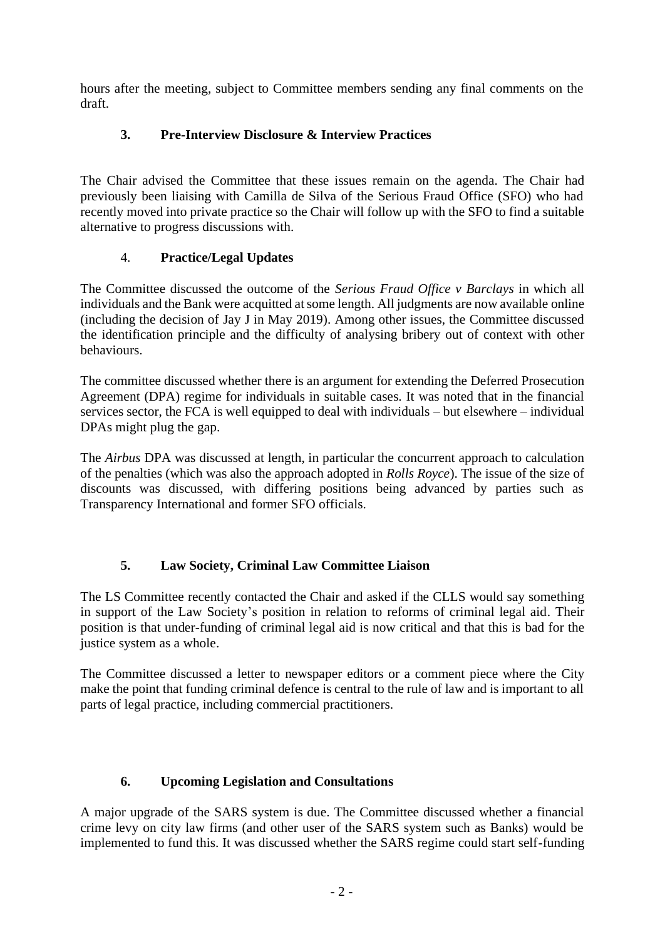hours after the meeting, subject to Committee members sending any final comments on the draft.

# **3. Pre-Interview Disclosure & Interview Practices**

The Chair advised the Committee that these issues remain on the agenda. The Chair had previously been liaising with Camilla de Silva of the Serious Fraud Office (SFO) who had recently moved into private practice so the Chair will follow up with the SFO to find a suitable alternative to progress discussions with.

# 4. **Practice/Legal Updates**

The Committee discussed the outcome of the *Serious Fraud Office v Barclays* in which all individuals and the Bank were acquitted at some length. All judgments are now available online (including the decision of Jay J in May 2019). Among other issues, the Committee discussed the identification principle and the difficulty of analysing bribery out of context with other behaviours.

The committee discussed whether there is an argument for extending the Deferred Prosecution Agreement (DPA) regime for individuals in suitable cases. It was noted that in the financial services sector, the FCA is well equipped to deal with individuals – but elsewhere – individual DPAs might plug the gap.

The *Airbus* DPA was discussed at length, in particular the concurrent approach to calculation of the penalties (which was also the approach adopted in *Rolls Royce*). The issue of the size of discounts was discussed, with differing positions being advanced by parties such as Transparency International and former SFO officials.

# **5. Law Society, Criminal Law Committee Liaison**

The LS Committee recently contacted the Chair and asked if the CLLS would say something in support of the Law Society's position in relation to reforms of criminal legal aid. Their position is that under-funding of criminal legal aid is now critical and that this is bad for the justice system as a whole.

The Committee discussed a letter to newspaper editors or a comment piece where the City make the point that funding criminal defence is central to the rule of law and is important to all parts of legal practice, including commercial practitioners.

# **6. Upcoming Legislation and Consultations**

A major upgrade of the SARS system is due. The Committee discussed whether a financial crime levy on city law firms (and other user of the SARS system such as Banks) would be implemented to fund this. It was discussed whether the SARS regime could start self-funding